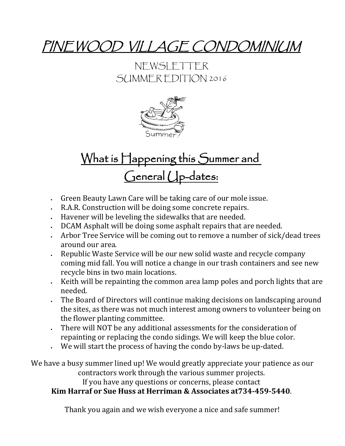### PINEWOOD VILLAGE CONDOMINIUM

#### NEWSLETTER SUMMER EDITION 2016



# What is Happening this Summer and General Up-dates:

- Green Beauty Lawn Care will be taking care of our mole issue.
- R.A.R. Construction will be doing some concrete repairs.
- Havener will be leveling the sidewalks that are needed.
- DCAM Asphalt will be doing some asphalt repairs that are needed.
- Arbor Tree Service will be coming out to remove a number of sick/dead trees around our area.
- . Republic Waste Service will be our new solid waste and recycle company coming mid fall. You will notice a change in our trash containers and see new recycle bins in two main locations.
- E. Keith will be repainting the common area lamp poles and porch lights that are needed.
- The Board of Directors will continue making decisions on landscaping around the sites, as there was not much interest among owners to volunteer being on the flower planting committee.
- There will NOT be any additional assessments for the consideration of repainting or replacing the condo sidings. We will keep the blue color.
- We will start the process of having the condo by-laws be up-dated.

We have a busy summer lined up! We would greatly appreciate your patience as our contractors work through the various summer projects. If you have any questions or concerns, please contact

#### **Kim Harraf or Sue Huss at Herriman & Associates at734-459-5440**.

Thank you again and we wish everyone a nice and safe summer!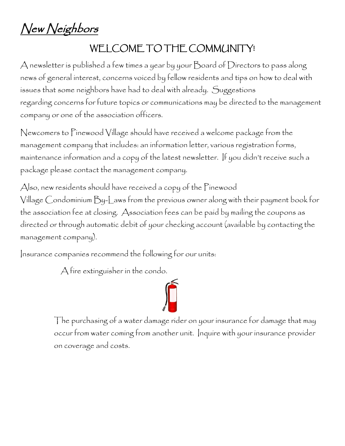New Neighbors

#### WELCOME TO THE COMMUNITY!

A newsletter is published a few times a year by your Board of Directors to pass along news of general interest, concerns voiced by fellow residents and tips on how to deal with issues that some neighbors have had to deal with already. Suggestions regarding concerns for future topics or communications may be directed to the management company or one of the association officers.

Newcomers to Pinewood Village should have received a welcome package from the management company that includes: an information letter, various registration forms, maintenance information and a copy of the latest newsletter. If you didn't receive such a package please contact the management company.

Also, new residents should have received a copy of the Pinewood Village Condominium By-Laws from the previous owner along with their payment book for the association fee at closing. Association fees can be paid by mailing the coupons as directed or through automatic debit of your checking account (available by contacting the management company).

Insurance companies recommend the following for our units:

A fire extinguisher in the condo.

 The purchasing of a water damage rider on your insurance for damage that may occur from water coming from another unit. Inquire with your insurance provider on coverage and costs.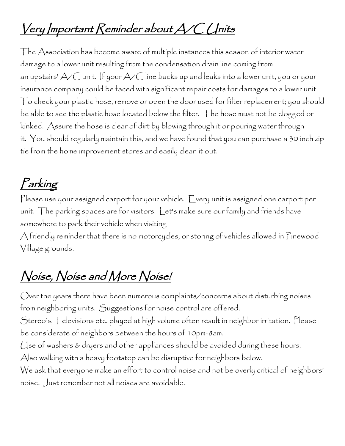# Very Important Reminder about A/C Units

The Association has become aware of multiple instances this season of interior water damage to a lower unit resulting from the condensation drain line coming from an upstairs'  $\triangle\!/$  unit. If your  $\triangle\!/$  line backs up and leaks into a lower unit, you or your insurance company could be faced with significant repair costs for damages to a lower unit. To check your plastic hose, remove or open the door used for filter replacement; you should be able to see the plastic hose located below the filter. The hose must not be clogged or kinked. Assure the hose is clear of dirt by blowing through it or pouring water through it. You should regularly maintain this, and we have found that you can purchase a 30 inch zip tie from the home improvement stores and easily clean it out.

#### Parking

Please use your assigned carport for your vehicle. Every unit is assigned one carport per unit. The parking spaces are for visitors. Let's make sure our family and friends have somewhere to park their vehicle when visiting

A friendly reminder that there is no motorcycles, or storing of vehicles allowed in Pinewood Village grounds.

## Noise, Noise and More Noise!

Over the years there have been numerous complaints/concerns about disturbing noises from neighboring units. Suggestions for noise control are offered.

Stereo's, Televisions etc. played at high volume often result in neighbor irritation. Please be considerate of neighbors between the hours of 10pm-8am.

Use of washers & dryers and other appliances should be avoided during these hours.

Also walking with a heavy footstep can be disruptive for neighbors below.

We ask that everyone make an effort to control noise and not be overly critical of neighbors' noise. Just remember not all noises are avoidable.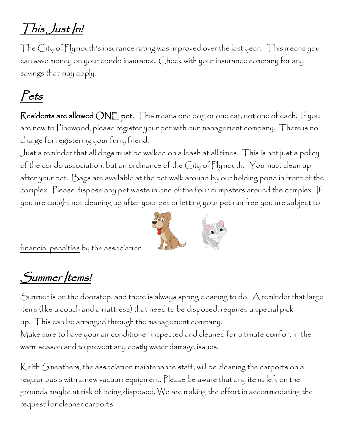## This Just In!

The City of Plymouth's insurance rating was improved over the last year. This means you can save money on your condo insurance. Check with your insurance company for any savings that may apply.

# Pets

Residents are allowed <u>ONE</u> pet. This means one dog or one cat; not one of each. If you are new to Pinewood, please register your pet with our management company. There is no charge for registering your furry friend.

Just a reminder that all dogs must be walked on a leash at all times. This is not just a policy of the condo association, but an ordinance of the City of Plymouth. You must clean up after your pet. Bags are available at the pet walk around by our holding pond in front of the complex. Please dispose any pet waste in one of the four dumpsters around the complex. If you are caught not cleaning up after your pet or letting your pet run free you are subject to



financial penalties by the association.

#### Summer /tems!

Summer is on the doorstep, and there is always spring cleaning to do. A reminder that large items (like a couch and a mattress) that need to be disposed, requires a special pick up. This can be arranged through the management company. Make sure to have your air conditioner inspected and cleaned for ultimate comfort in the warm season and to prevent any costly water damage issues.

Keith Smeathers, the association maintenance staff, will be cleaning the carports on a regular basis with a new vacuum equipment. Please be aware that any items left on the grounds maybe at risk of being disposed. We are making the effort in accommodating the request for cleaner carports.